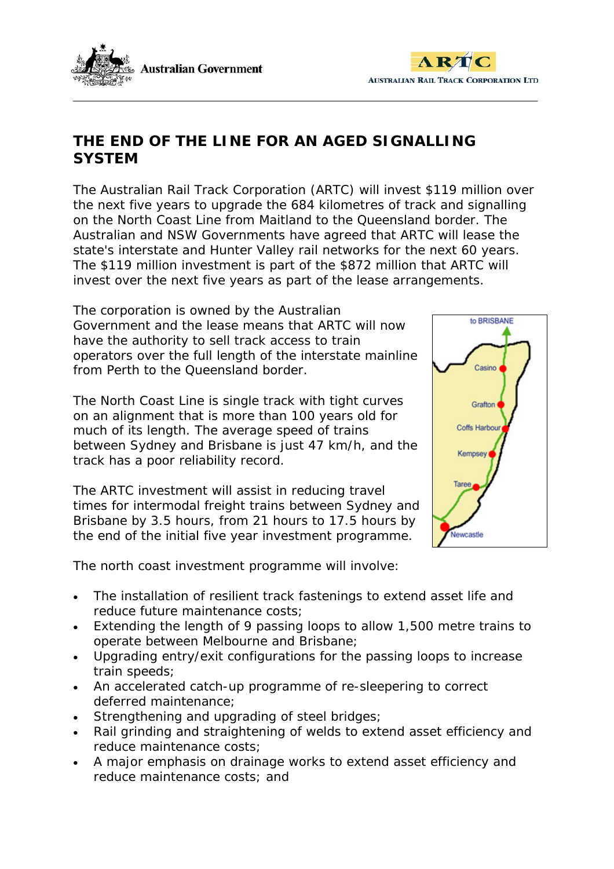



# **THE END OF THE LINE FOR AN AGED SIGNALLING SYSTEM**

The Australian Rail Track Corporation (ARTC) will invest \$119 million over the next five years to upgrade the 684 kilometres of track and signalling on the North Coast Line from Maitland to the Queensland border. The Australian and NSW Governments have agreed that ARTC will lease the state's interstate and Hunter Valley rail networks for the next 60 years. The \$119 million investment is part of the \$872 million that ARTC will invest over the next five years as part of the lease arrangements.

The corporation is owned by the Australian Government and the lease means that ARTC will now have the authority to sell track access to train operators over the full length of the interstate mainline from Perth to the Queensland border.

The North Coast Line is single track with tight curves on an alignment that is more than 100 years old for much of its length. The average speed of trains between Sydney and Brisbane is just 47 km/h, and the track has a poor reliability record.

The ARTC investment will assist in reducing travel times for intermodal freight trains between Sydney and Brisbane by 3.5 hours, from 21 hours to 17.5 hours by the end of the initial five year investment programme.

to BRISBANE Grafton Coffs Harbou Kempsey Taree lewnastie

The north coast investment programme will involve:

- The installation of resilient track fastenings to extend asset life and reduce future maintenance costs;
- Extending the length of 9 passing loops to allow 1,500 metre trains to operate between Melbourne and Brisbane;
- Upgrading entry/exit configurations for the passing loops to increase train speeds;
- An accelerated catch-up programme of re-sleepering to correct deferred maintenance;
- Strengthening and upgrading of steel bridges;
- Rail grinding and straightening of welds to extend asset efficiency and reduce maintenance costs;
- A major emphasis on drainage works to extend asset efficiency and reduce maintenance costs; and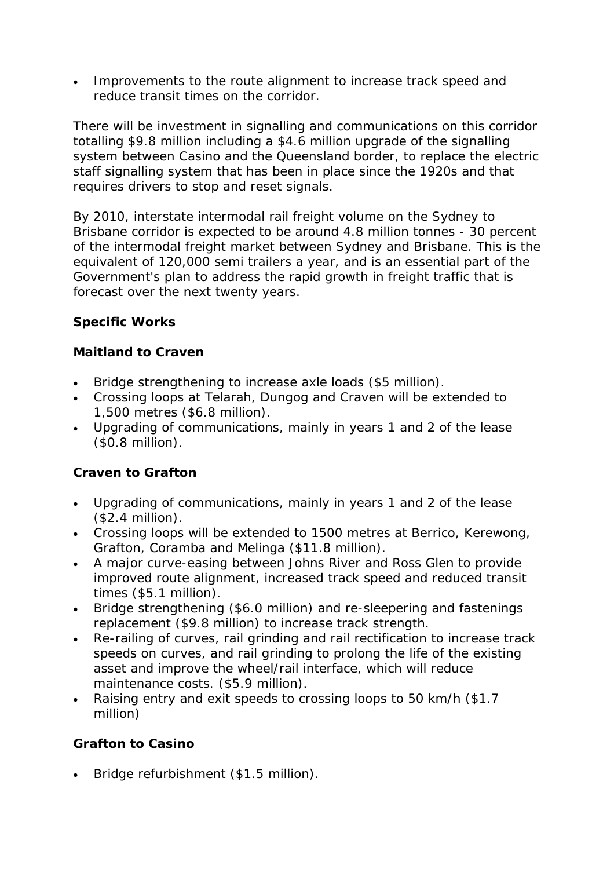• Improvements to the route alignment to increase track speed and reduce transit times on the corridor.

There will be investment in signalling and communications on this corridor totalling \$9.8 million including a \$4.6 million upgrade of the signalling system between Casino and the Queensland border, to replace the electric staff signalling system that has been in place since the 1920s and that requires drivers to stop and reset signals.

By 2010, interstate intermodal rail freight volume on the Sydney to Brisbane corridor is expected to be around 4.8 million tonnes - 30 percent of the intermodal freight market between Sydney and Brisbane. This is the equivalent of 120,000 semi trailers a year, and is an essential part of the Government's plan to address the rapid growth in freight traffic that is forecast over the next twenty years.

## *Specific Works*

### **Maitland to Craven**

- Bridge strengthening to increase axle loads (\$5 million).
- Crossing loops at Telarah, Dungog and Craven will be extended to 1,500 metres (\$6.8 million).
- Upgrading of communications, mainly in years 1 and 2 of the lease (\$0.8 million).

### **Craven to Grafton**

- Upgrading of communications, mainly in years 1 and 2 of the lease (\$2.4 million).
- Crossing loops will be extended to 1500 metres at Berrico, Kerewong, Grafton, Coramba and Melinga (\$11.8 million).
- A major curve-easing between Johns River and Ross Glen to provide improved route alignment, increased track speed and reduced transit times (\$5.1 million).
- Bridge strengthening (\$6.0 million) and re-sleepering and fastenings replacement (\$9.8 million) to increase track strength.
- Re-railing of curves, rail grinding and rail rectification to increase track speeds on curves, and rail grinding to prolong the life of the existing asset and improve the wheel/rail interface, which will reduce maintenance costs. (\$5.9 million).
- Raising entry and exit speeds to crossing loops to 50 km/h (\$1.7 million)

### **Grafton to Casino**

• Bridge refurbishment (\$1.5 million).